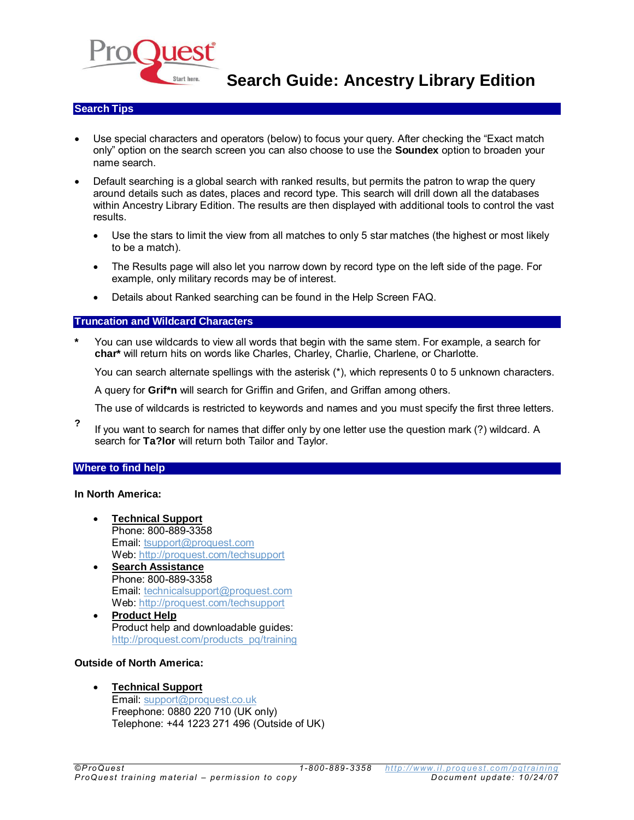

**Search Guide: Ancestry Library Edition**

### **Search Tips**

- Use special characters and operators (below) to focus your query. After checking the "Exact match only" option on the search screen you can also choose to use the **Soundex** option to broaden your name search.
- Default searching is a global search with ranked results, but permits the patron to wrap the query around details such as dates, places and record type. This search will drill down all the databases within Ancestry Library Edition. The results are then displayed with additional tools to control the vast results.
	- Use the stars to limit the view from all matches to only 5 star matches (the highest or most likely to be a match).
	- The Results page will also let you narrow down by record type on the left side of the page. For example, only military records may be of interest.
	- Details about Ranked searching can be found in the Help Screen FAQ.

# **Truncation and Wildcard Characters**

**\*** You can use wildcards to view all words that begin with the same stem. For example, a search for **char\*** will return hits on words like Charles, Charley, Charlie, Charlene, or Charlotte.

You can search alternate spellings with the asterisk (\*), which represents 0 to 5 unknown characters.

A query for **Grif\*n** will search for Griffin and Grifen, and Griffan among others.

- The use of wildcards is restricted to keywords and names and you must specify the first three letters.
- **?** If you want to search for names that differ only by one letter use the question mark (?) wildcard. A search for **Ta?lor** will return both Tailor and Taylor.

#### **Where to find help**

#### **In North America:**

- **Technical Support** Phone: 800-889-3358 Email[: tsupport@proquest.com](mailto:tsupport@proquest.com) Web:<http://proquest.com/techsupport>
- **Search Assistance** Phone: 800-889-3358 Email[: technicalsupport@proquest.com](mailto:technicalsupport@proquest.com) Web:<http://proquest.com/techsupport>
- **Product Help** Product help and downloadable guides: [http://proquest.com/products\\_pq/training](http://proquest.com/products_pq/training)

## **Outside of North America:**

 **Technical Support** Email[: support@proquest.co.uk](mailto:support@proquest.co.uk) Freephone: 0880 220 710 (UK only) Telephone: +44 1223 271 496 (Outside of UK)